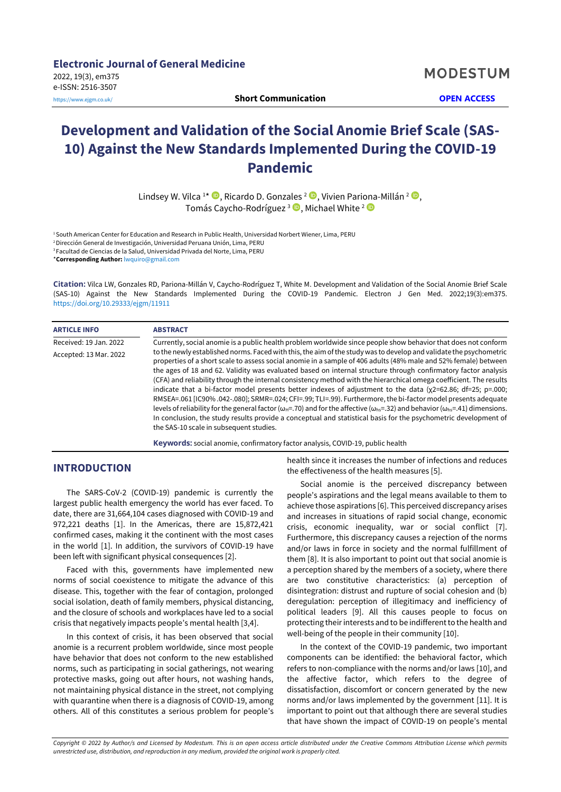**Electronic Journal of General Medicine** 2022, 19(3), em375 e-ISSN: 2516-3507 <https://www.ejgm.co.uk/> **Short Communication OPEN ACCESS**

# **Development and Validation of the Social Anomie Brief Scale (SAS-10) Against the New Standards Implemented During the COVID-19 Pandemic**

Lindsey W. Vilca <sup>1</sup>\* **®**, Ricardo D. Gonzales <sup>2</sup> ®, Vivien Pariona-Millán <sup>2</sup> ®, Tomás Caycho-Rodríguez <sup>3</sup> D, Michael White <sup>2</sup>

<sup>1</sup> South American Center for Education and Research in Public Health, Universidad Norbert Wiener, Lima, PERU <sup>2</sup>Dirección General de Investigación, Universidad Peruana Unión, Lima, PERU <sup>3</sup>Facultad de Ciencias de la Salud, Universidad Privada del Norte, Lima, PERU \***Corresponding Author:** [lwquiro@gmail.com](mailto:lwquiro@gmail.com)

**Citation:** Vilca LW, Gonzales RD, Pariona-Millán V, Caycho-Rodríguez T, White M. Development and Validation of the Social Anomie Brief Scale (SAS-10) Against the New Standards Implemented During the COVID-19 Pandemic. Electron J Gen Med. 2022;19(3):em375. <https://doi.org/10.29333/ejgm/11911>

| <b>ARTICLE INFO</b>    | <b>ABSTRACT</b>                                                                                                                                                                                                                                                                                                                                                                                                                                                                                                                                                                                                                                                                                                                                                                                                                                                                                                                                                                                                                               |
|------------------------|-----------------------------------------------------------------------------------------------------------------------------------------------------------------------------------------------------------------------------------------------------------------------------------------------------------------------------------------------------------------------------------------------------------------------------------------------------------------------------------------------------------------------------------------------------------------------------------------------------------------------------------------------------------------------------------------------------------------------------------------------------------------------------------------------------------------------------------------------------------------------------------------------------------------------------------------------------------------------------------------------------------------------------------------------|
| Received: 19 Jan. 2022 | Currently, social anomie is a public health problem worldwide since people show behavior that does not conform                                                                                                                                                                                                                                                                                                                                                                                                                                                                                                                                                                                                                                                                                                                                                                                                                                                                                                                                |
| Accepted: 13 Mar. 2022 | to the newly established norms. Faced with this, the aim of the study was to develop and validate the psychometric<br>properties of a short scale to assess social anomie in a sample of 406 adults (48% male and 52% female) between<br>the ages of 18 and 62. Validity was evaluated based on internal structure through confirmatory factor analysis<br>(CFA) and reliability through the internal consistency method with the hierarchical omega coefficient. The results<br>indicate that a bi-factor model presents better indexes of adjustment to the data ( $x2=62.86$ ; df=25; p=.000;<br>RMSEA=.061 [IC90%.042-.080]; SRMR=.024; CFI=.99; TLI=.99). Furthermore, the bi-factor model presents adequate<br>levels of reliability for the general factor ( $\omega_H$ =.70) and for the affective ( $\omega_{hs}$ =.32) and behavior ( $\omega_{hs}$ =.41) dimensions.<br>In conclusion, the study results provide a conceptual and statistical basis for the psychometric development of<br>the SAS-10 scale in subsequent studies. |
|                        | Kauwards: social anomia, confirmatory factor analysis, COVID 10, public boalth                                                                                                                                                                                                                                                                                                                                                                                                                                                                                                                                                                                                                                                                                                                                                                                                                                                                                                                                                                |

**Keywords:** social anomie, confirmatory factor analysis, COVID-19, public health

# **INTRODUCTION**

The SARS-CoV-2 (COVID-19) pandemic is currently the largest public health emergency the world has ever faced. To date, there are 31,664,104 cases diagnosed with COVID-19 and 972,221 deaths [1]. In the Americas, there are 15,872,421 confirmed cases, making it the continent with the most cases in the world [1]. In addition, the survivors of COVID-19 have been left with significant physical consequences [2].

Faced with this, governments have implemented new norms of social coexistence to mitigate the advance of this disease. This, together with the fear of contagion, prolonged social isolation, death of family members, physical distancing, and the closure of schools and workplaces have led to a social crisis that negatively impacts people's mental health [3,4].

In this context of crisis, it has been observed that social anomie is a recurrent problem worldwide, since most people have behavior that does not conform to the new established norms, such as participating in social gatherings, not wearing protective masks, going out after hours, not washing hands, not maintaining physical distance in the street, not complying with quarantine when there is a diagnosis of COVID-19, among others. All of this constitutes a serious problem for people's health since it increases the number of infections and reduces the effectiveness of the health measures [5].

Social anomie is the perceived discrepancy between people's aspirations and the legal means available to them to achieve those aspirations [6]. This perceived discrepancy arises and increases in situations of rapid social change, economic crisis, economic inequality, war or social conflict [7]. Furthermore, this discrepancy causes a rejection of the norms and/or laws in force in society and the normal fulfillment of them [8]. It is also important to point out that social anomie is a perception shared by the members of a society, where there are two constitutive characteristics: (a) perception of disintegration: distrust and rupture of social cohesion and (b) deregulation: perception of illegitimacy and inefficiency of political leaders [9]. All this causes people to focus on protecting their interests and to be indifferent to the health and well-being of the people in their community [10].

In the context of the COVID-19 pandemic, two important components can be identified: the behavioral factor, which refers to non-compliance with the norms and/or laws [10], and the affective factor, which refers to the degree of dissatisfaction, discomfort or concern generated by the new norms and/or laws implemented by the government [11]. It is important to point out that although there are several studies that have shown the impact of COVID-19 on people's mental

*Copyright © 2022 by Author/s and Licensed by Modestum. This is an open access article distributed under the Creative Commons Attribution License which permits unrestricted use, distribution, and reproduction in any medium, provided the original work is properly cited.*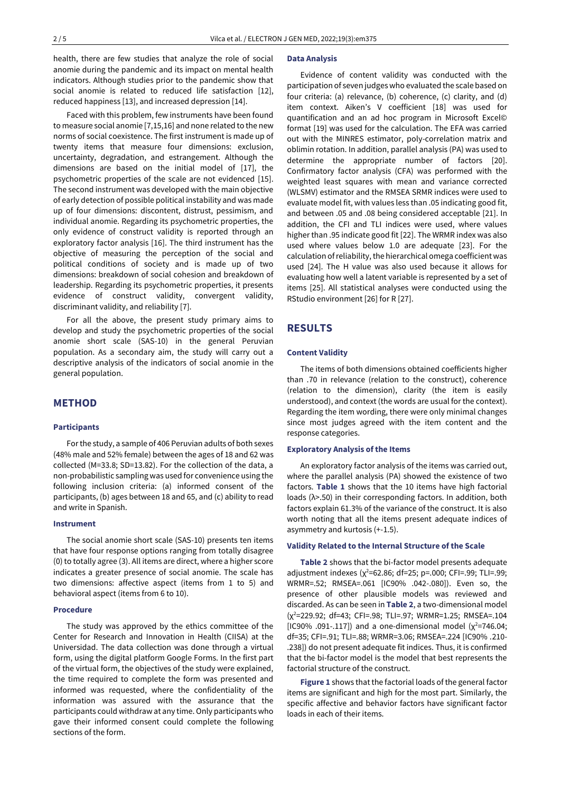health, there are few studies that analyze the role of social anomie during the pandemic and its impact on mental health indicators. Although studies prior to the pandemic show that social anomie is related to reduced life satisfaction [12], reduced happiness [13], and increased depression [14].

Faced with this problem, few instruments have been found to measure social anomie [7,15,16] and none related to the new norms of social coexistence. The first instrument is made up of twenty items that measure four dimensions: exclusion, uncertainty, degradation, and estrangement. Although the dimensions are based on the initial model of [17], the psychometric properties of the scale are not evidenced [15]. The second instrument was developed with the main objective of early detection of possible political instability and was made up of four dimensions: discontent, distrust, pessimism, and individual anomie. Regarding its psychometric properties, the only evidence of construct validity is reported through an exploratory factor analysis [16]. The third instrument has the objective of measuring the perception of the social and political conditions of society and is made up of two dimensions: breakdown of social cohesion and breakdown of leadership. Regarding its psychometric properties, it presents evidence of construct validity, convergent validity, discriminant validity, and reliability [7].

For all the above, the present study primary aims to develop and study the psychometric properties of the social anomie short scale (SAS-10) in the general Peruvian population. As a secondary aim, the study will carry out a descriptive analysis of the indicators of social anomie in the general population.

## **METHOD**

#### **Participants**

For the study, a sample of 406 Peruvian adults of both sexes (48% male and 52% female) between the ages of 18 and 62 was collected (M=33.8; SD=13.82). For the collection of the data, a non-probabilistic sampling was used for convenience using the following inclusion criteria: (a) informed consent of the participants, (b) ages between 18 and 65, and (c) ability to read and write in Spanish.

#### **Instrument**

The social anomie short scale (SAS-10) presents ten items that have four response options ranging from totally disagree (0) to totally agree (3). All items are direct, where a higher score indicates a greater presence of social anomie. The scale has two dimensions: affective aspect (items from 1 to 5) and behavioral aspect (items from 6 to 10).

#### **Procedure**

The study was approved by the ethics committee of the Center for Research and Innovation in Health (CIISA) at the Universidad. The data collection was done through a virtual form, using the digital platform Google Forms. In the first part of the virtual form, the objectives of the study were explained, the time required to complete the form was presented and informed was requested, where the confidentiality of the information was assured with the assurance that the participants could withdraw at any time. Only participants who gave their informed consent could complete the following sections of the form.

#### **Data Analysis**

Evidence of content validity was conducted with the participation of seven judges who evaluated the scale based on four criteria: (a) relevance, (b) coherence, (c) clarity, and (d) item context. Aiken's V coefficient [18] was used for quantification and an ad hoc program in Microsoft Excel© format [19] was used for the calculation. The EFA was carried out with the MINRES estimator, poly-correlation matrix and oblimin rotation. In addition, parallel analysis (PA) was used to determine the appropriate number of factors [20]. Confirmatory factor analysis (CFA) was performed with the weighted least squares with mean and variance corrected (WLSMV) estimator and the RMSEA SRMR indices were used to evaluate model fit, with values less than .05 indicating good fit, and between .05 and .08 being considered acceptable [21]. In addition, the CFI and TLI indices were used, where values higher than .95 indicate good fit [22]. The WRMR index was also used where values below 1.0 are adequate [23]. For the calculation of reliability, the hierarchical omega coefficient was used [24]. The H value was also used because it allows for evaluating how well a latent variable is represented by a set of items [25]. All statistical analyses were conducted using the RStudio environment [26] for R [27].

### **RESULTS**

#### **Content Validity**

The items of both dimensions obtained coefficients higher than .70 in relevance (relation to the construct), coherence (relation to the dimension), clarity (the item is easily understood), and context (the words are usual for the context). Regarding the item wording, there were only minimal changes since most judges agreed with the item content and the response categories.

#### **Exploratory Analysis of the Items**

An exploratory factor analysis of the items was carried out, where the parallel analysis (PA) showed the existence of two factors. **Table 1** shows that the 10 items have high factorial loads (λ>.50) in their corresponding factors. In addition, both factors explain 61.3% of the variance of the construct. It is also worth noting that all the items present adequate indices of asymmetry and kurtosis (+-1.5).

#### **Validity Related to the Internal Structure of the Scale**

**Table 2** shows that the bi-factor model presents adequate adjustment indexes (χ<sup>2</sup>=62.86; df=25; p=.000; CFI=.99; TLI=.99; WRMR=.52; RMSEA=.061 [IC90% .042-.080]). Even so, the presence of other plausible models was reviewed and discarded. As can be seen in **Table 2**, a two-dimensional model (χ <sup>2</sup>=229.92; df=43; CFI=.98; TLI=.97; WRMR=1.25; RMSEA=.104 [IC90% .091-.117]) and a one-dimensional model ( $\chi^2$ =746.04; df=35; CFI=.91; TLI=.88; WRMR=3.06; RMSEA=.224 [IC90% .210- .238]) do not present adequate fit indices. Thus, it is confirmed that the bi-factor model is the model that best represents the factorial structure of the construct.

**Figure 1** shows that the factorial loads of the general factor items are significant and high for the most part. Similarly, the specific affective and behavior factors have significant factor loads in each of their items.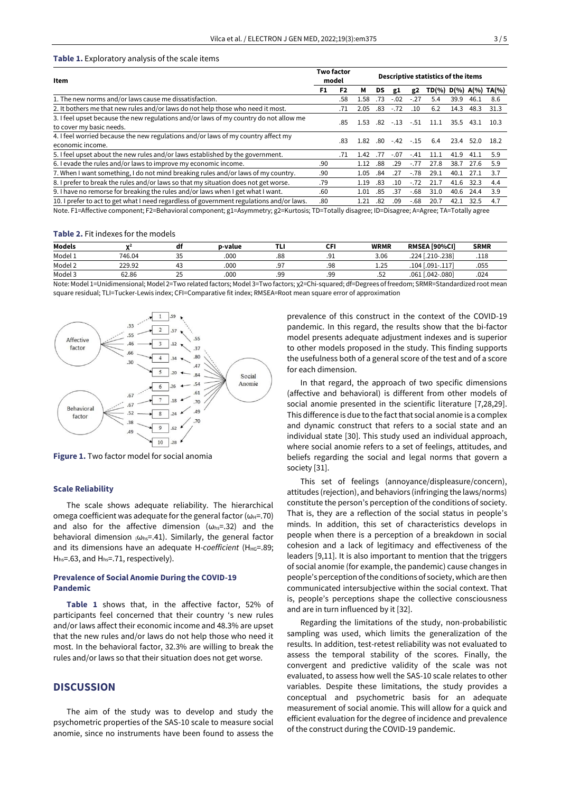#### **Table 1.** Exploratory analysis of the scale items

| Item                                                                                                              | <b>Two factor</b><br>model |     |      | Descriptive statistics of the items |        |                      |       |      |      |                    |
|-------------------------------------------------------------------------------------------------------------------|----------------------------|-----|------|-------------------------------------|--------|----------------------|-------|------|------|--------------------|
|                                                                                                                   | F1                         | F2  | м    | DS                                  | g1     | g2                   | TD(%) |      |      | $D(\%)$ A(%) TA(%) |
| 1. The new norms and/or laws cause me dissatisfaction.                                                            |                            | .58 | .58  | 73                                  | $-.02$ | -.27                 | 5.4   | 39.9 | 46.1 | 8.6                |
| 2. It bothers me that new rules and/or laws do not help those who need it most.                                   |                            | .71 | 2.05 | .83                                 | $-.72$ | .10                  | 6.2   | 14.3 | 48.3 | 31.3               |
| 3. I feel upset because the new regulations and/or laws of my country do not allow me<br>to cover my basic needs. |                            | .85 | .53  | .82                                 | $-.13$ | $-.51$               | 11.1  | 35.5 | 43.1 | 10.3               |
| 4. I feel worried because the new regulations and/or laws of my country affect my<br>economic income.             |                            | .83 | -82  | .80                                 | $-.42$ | $-.15$               | 6.4   | 23.4 | 52.0 | 18.2               |
| 5. I feel upset about the new rules and/or laws established by the government.                                    |                            | .71 | .42  | .77                                 | $-.07$ | $-.41$               | 11.1  | 41.9 | 41.1 | 5.9                |
| 6. I evade the rules and/or laws to improve my economic income.                                                   | .90                        |     | 1.12 | .88                                 | .29    | $-.77$               | 27.8  | 38.7 | 27.6 | 5.9                |
| 7. When I want something, I do not mind breaking rules and/or laws of my country.                                 | .90                        |     | 1.05 | .84                                 | .27    | $-.78$               | 29.1  | 40.1 | 27.1 | 3.7                |
| 8. I prefer to break the rules and/or laws so that my situation does not get worse.                               | .79                        |     | 1.19 | .83                                 | .10    | $-.72$               | 21.7  | 41.6 | 32.3 | 4.4                |
| 9. I have no remorse for breaking the rules and/or laws when I get what I want.                                   | .60                        |     | 1.01 | .85                                 | .37    | $-68$                | 31.0  | 40.6 | 24.4 | 3.9                |
| 10. I prefer to act to get what I need regardless of government regulations and/or laws.                          | .80                        |     | 1.21 | .82                                 | .09    | $-68$                | 20.7  | 42.1 | 32.5 | 4.7                |
|                                                                                                                   | -----                      |     |      | $\sim$                              |        | $\ddot{\phantom{a}}$ |       |      |      |                    |

Note. F1=Affective component; F2=Behavioral component; g1=Asymmetry; g2=Kurtosis; TD=Totally disagree; ID=Disagree; A=Agree; TA=Totally agree

#### **Table 2.** Fit indexes for the models

| <b>Models</b> | $\lambda$ | aı                 | p-value | .         | --<br> | <b>WRMR</b> | RMSEA [90%CI]           | <b>SRMR</b> |
|---------------|-----------|--------------------|---------|-----------|--------|-------------|-------------------------|-------------|
| Model 1       | 746.04    | $\sim$ $\sim$      | .000    | .88       | .      | 3.06        | .224 [.210-.238]        | .118        |
| Model 2       | 229.92    | 45                 | .000    | 07<br>. . | .98    | 1.25        | $[.091-.117]$<br>' 104. | .055        |
| Model 3       | 62.86     | $\sim$ $\sim$<br>ت | .000    | qq<br>    | qq<br> | .52         | .061 [.042-.080]        | .024        |

Note: Model 1=Unidimensional; Model 2=Two related factors; Model 3=Two factors; χ2=Chi-squared; df=Degrees of freedom; SRMR=Standardized root mean square residual; TLI=Tucker-Lewis index; CFI=Comparative fit index; RMSEA=Root mean square error of approximation



**Figure 1.** Two factor model for social anomia

#### **Scale Reliability**

The scale shows adequate reliability. The hierarchical omega coefficient was adequate for the general factor ( $\omega_H$ =.70) and also for the affective dimension ( $\omega_{\text{hs}}$ =.32) and the behavioral dimension  $(\omega_{hs} = .41)$ . Similarly, the general factor and its dimensions have an adequate H-coefficient (H<sub>HG</sub>=.89; Hhs=.63, and Hhs=.71, respectively).

#### **Prevalence of Social Anomie During the COVID-19 Pandemic**

**Table 1** shows that, in the affective factor, 52% of participants feel concerned that their country 's new rules and/or laws affect their economic income and 48.3% are upset that the new rules and/or laws do not help those who need it most. In the behavioral factor, 32.3% are willing to break the rules and/or laws so that their situation does not get worse.

## **DISCUSSION**

The aim of the study was to develop and study the psychometric properties of the SAS-10 scale to measure social anomie, since no instruments have been found to assess the

prevalence of this construct in the context of the COVID-19 pandemic. In this regard, the results show that the bi-factor model presents adequate adjustment indexes and is superior to other models proposed in the study. This finding supports the usefulness both of a general score of the test and of a score for each dimension.

In that regard, the approach of two specific dimensions (affective and behavioral) is different from other models of social anomie presented in the scientific literature [7,28,29]. This difference is due to the fact that social anomie is a complex and dynamic construct that refers to a social state and an individual state [30]. This study used an individual approach, where social anomie refers to a set of feelings, attitudes, and beliefs regarding the social and legal norms that govern a society [31].

This set of feelings (annoyance/displeasure/concern), attitudes (rejection), and behaviors (infringing the laws/norms) constitute the person's perception of the conditions of society. That is, they are a reflection of the social status in people's minds. In addition, this set of characteristics develops in people when there is a perception of a breakdown in social cohesion and a lack of legitimacy and effectiveness of the leaders [9,11]. It is also important to mention that the triggers of social anomie (for example, the pandemic) cause changes in people's perception of the conditions of society, which are then communicated intersubjective within the social context. That is, people's perceptions shape the collective consciousness and are in turn influenced by it [32].

Regarding the limitations of the study, non-probabilistic sampling was used, which limits the generalization of the results. In addition, test-retest reliability was not evaluated to assess the temporal stability of the scores. Finally, the convergent and predictive validity of the scale was not evaluated, to assess how well the SAS-10 scale relates to other variables. Despite these limitations, the study provides a conceptual and psychometric basis for an adequate measurement of social anomie. This will allow for a quick and efficient evaluation for the degree of incidence and prevalence of the construct during the COVID-19 pandemic.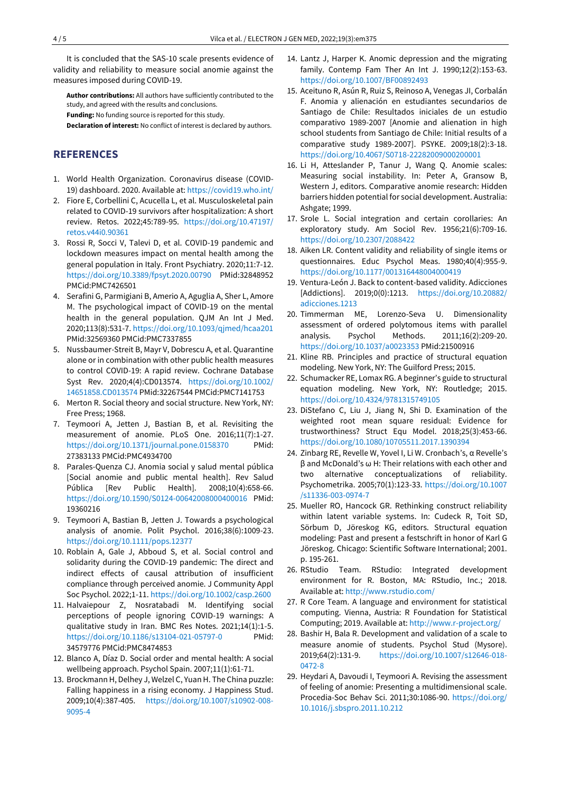It is concluded that the SAS-10 scale presents evidence of validity and reliability to measure social anomie against the measures imposed during COVID-19.

**Author contributions:** All authors have sufficiently contributed to the study, and agreed with the results and conclusions.

**Funding:** No funding source is reported for this study.

**Declaration of interest:** No conflict of interest is declared by authors.

# **REFERENCES**

- 1. World Health Organization. Coronavirus disease (COVID-19) dashboard. 2020. Available at[: https://covid19.who.int/](https://covid19.who.int/)
- 2. Fiore E, Corbellini C, Acucella L, et al. Musculoskeletal pain related to COVID-19 survivors after hospitalization: A short review. Retos. 2022;45:789-95. [https://doi.org/10.47197/](https://doi.org/10.47197/retos.v44i0.90361) [retos.v44i0.90361](https://doi.org/10.47197/retos.v44i0.90361)
- 3. Rossi R, Socci V, Talevi D, et al. COVID-19 pandemic and lockdown measures impact on mental health among the general population in Italy. Front Psychiatry. 2020;11:7-12. <https://doi.org/10.3389/fpsyt.2020.00790> PMid:32848952 PMCid:PMC7426501
- 4. Serafini G, Parmigiani B, Amerio A, Aguglia A, Sher L, Amore M. The psychological impact of COVID-19 on the mental health in the general population. QJM An Int J Med. 2020;113(8):531-7[. https://doi.org/10.1093/qjmed/hcaa201](https://doi.org/10.1093/qjmed/hcaa201) PMid:32569360 PMCid:PMC7337855
- 5. Nussbaumer-Streit B, Mayr V, Dobrescu A, et al. Quarantine alone or in combination with other public health measures to control COVID-19: A rapid review. Cochrane Database Syst Rev. 2020;4(4):CD013574. [https://doi.org/10.1002/](https://doi.org/10.1002/14651858.CD013574) [14651858.CD013574](https://doi.org/10.1002/14651858.CD013574) PMid:32267544 PMCid:PMC7141753
- 6. Merton R. Social theory and social structure. New York, NY: Free Press; 1968.
- 7. Teymoori A, Jetten J, Bastian B, et al. Revisiting the measurement of anomie. PLoS One. 2016;11(7):1-27. <https://doi.org/10.1371/journal.pone.0158370> PMid: 27383133 PMCid:PMC4934700
- 8. Parales-Quenza CJ. Anomia social y salud mental pública [Social anomie and public mental health]. Rev Salud Pública [Rev Public Health]. 2008;10(4):658-66. <https://doi.org/10.1590/S0124-00642008000400016> PMid: 19360216
- 9. Teymoori A, Bastian B, Jetten J. Towards a psychological analysis of anomie. Polit Psychol. 2016;38(6):1009-23. <https://doi.org/10.1111/pops.12377>
- 10. Roblain A, Gale J, Abboud S, et al. Social control and solidarity during the COVID-19 pandemic: The direct and indirect effects of causal attribution of insufficient compliance through perceived anomie. J Community Appl Soc Psychol. 2022;1-11[. https://doi.org/10.1002/casp.2600](https://doi.org/10.1002/casp.2600)
- 11. Halvaiepour Z, Nosratabadi M. Identifying social perceptions of people ignoring COVID-19 warnings: A qualitative study in Iran. BMC Res Notes. 2021;14(1):1-5. <https://doi.org/10.1186/s13104-021-05797-0> PMid: 34579776 PMCid:PMC8474853
- 12. Blanco A, Díaz D. Social order and mental health: A social wellbeing approach. Psychol Spain. 2007;11(1):61-71.
- 13. Brockmann H, Delhey J, Welzel C, Yuan H. The China puzzle: Falling happiness in a rising economy. J Happiness Stud. 2009;10(4):387-405. [https://doi.org/10.1007/s10902-008-](https://doi.org/10.1007/s10902-008-9095-4) [9095-4](https://doi.org/10.1007/s10902-008-9095-4)
- 14. Lantz J, Harper K. Anomic depression and the migrating family. Contemp Fam Ther An Int J. 1990;12(2):153-63. <https://doi.org/10.1007/BF00892493>
- 15. Aceituno R, Asún R, Ruiz S, Reinoso A, Venegas JI, Corbalán F. Anomia y alienación en estudiantes secundarios de Santiago de Chile: Resultados iniciales de un estudio comparativo 1989-2007 [Anomie and alienation in high school students from Santiago de Chile: Initial results of a comparative study 1989-2007]. PSYKE. 2009;18(2):3-18. <https://doi.org/10.4067/S0718-22282009000200001>
- 16. Li H, Atteslander P, Tanur J, Wang Q. Anomie scales: Measuring social instability. In: Peter A, Gransow B, Western J, editors. Comparative anomie research: Hidden barriers hidden potential for social development. Australia: Ashgate; 1999.
- 17. Srole L. Social integration and certain corollaries: An exploratory study. Am Sociol Rev. 1956;21(6):709-16. <https://doi.org/10.2307/2088422>
- 18. Aiken LR. Content validity and reliability of single items or questionnaires. Educ Psychol Meas. 1980;40(4):955-9. <https://doi.org/10.1177/001316448004000419>
- 19. Ventura-León J. Back to content-based validity. Adicciones [Addictions]. 2019;0(0):1213. [https://doi.org/10.20882/](https://doi.org/10.20882/adicciones.1213) [adicciones.1213](https://doi.org/10.20882/adicciones.1213)
- 20. Timmerman ME, Lorenzo-Seva U. Dimensionality assessment of ordered polytomous items with parallel analysis. Psychol Methods. 2011;16(2):209-20. <https://doi.org/10.1037/a0023353> PMid:21500916
- 21. Kline RB. Principles and practice of structural equation modeling. New York, NY: The Guilford Press; 2015.
- 22. Schumacker RE, Lomax RG. A beginner's guide to structural equation modeling. New York, NY: Routledge; 2015. <https://doi.org/10.4324/9781315749105>
- 23. DiStefano C, Liu J, Jiang N, Shi D. Examination of the weighted root mean square residual: Evidence for trustworthiness? Struct Equ Model. 2018;25(3):453-66. <https://doi.org/10.1080/10705511.2017.1390394>
- 24. Zinbarg RE, Revelle W, Yovel I, Li W. Cronbach's, α Revelle's β and McDonald's ω H: Their relations with each other and two alternative conceptualizations of reliability. Psychometrika. 2005;70(1):123-33. [https://doi.org/10.1007](https://doi.org/10.1007/s11336-003-0974-7) [/s11336-003-0974-7](https://doi.org/10.1007/s11336-003-0974-7)
- 25. Mueller RO, Hancock GR. Rethinking construct reliability within latent variable systems. In: Cudeck R, Toit SD, Sörbum D, Jöreskog KG, editors. Structural equation modeling: Past and present a festschrift in honor of Karl G Jöreskog. Chicago: Scientific Software International; 2001. p. 195-261.
- 26. RStudio Team. RStudio: Integrated development environment for R. Boston, MA: RStudio, Inc.; 2018. Available at[: http://www.rstudio.com/](http://www.rstudio.com/)
- 27. R Core Team. A language and environment for statistical computing. Vienna, Austria: R Foundation for Statistical Computing; 2019. Available at[: http://www.r-project.org/](http://www.r-project.org/)
- 28. Bashir H, Bala R. Development and validation of a scale to measure anomie of students. Psychol Stud (Mysore). 2019;64(2):131-9. [https://doi.org/10.1007/s12646-018-](https://doi.org/10.1007/s12646-018-0472-8) [0472-8](https://doi.org/10.1007/s12646-018-0472-8)
- 29. Heydari A, Davoudi I, Teymoori A. Revising the assessment of feeling of anomie: Presenting a multidimensional scale. Procedia-Soc Behav Sci. 2011;30:1086-90. [https://doi.org/](https://doi.org/10.1016/j.sbspro.2011.10.212) [10.1016/j.sbspro.2011.10.212](https://doi.org/10.1016/j.sbspro.2011.10.212)